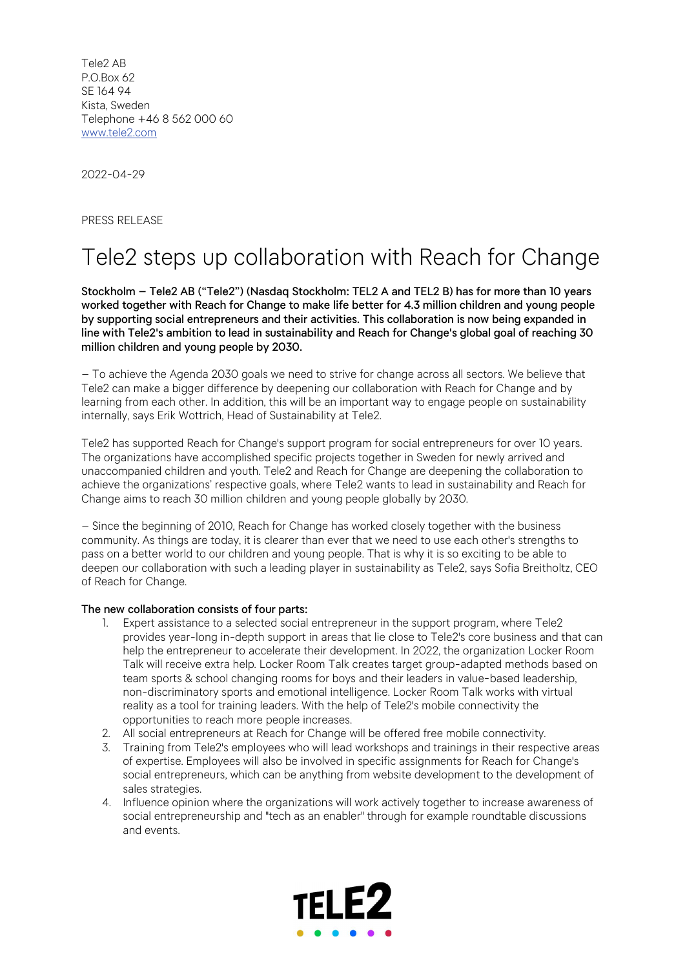Tele2 AB P.O.Box 62 SE 164 94 Kista, Sweden Telephone +46 8 562 000 60 www.tele2.com

2022-04-29

PRESS RELEASE

## Tele2 steps up collaboration with Reach for Change

Stockholm – Tele2 AB ("Tele2") (Nasdaq Stockholm: TEL2 A and TEL2 B) has for more than 10 years worked together with Reach for Change to make life better for 4.3 million children and young people by supporting social entrepreneurs and their activities. This collaboration is now being expanded in line with Tele2's ambition to lead in sustainability and Reach for Change's global goal of reaching 30 million children and young people by 2030.

– To achieve the Agenda 2030 goals we need to strive for change across all sectors. We believe that Tele2 can make a bigger difference by deepening our collaboration with Reach for Change and by learning from each other. In addition, this will be an important way to engage people on sustainability internally, says Erik Wottrich, Head of Sustainability at Tele2.

Tele2 has supported Reach for Change's support program for social entrepreneurs for over 10 years. The organizations have accomplished specific projects together in Sweden for newly arrived and unaccompanied children and youth. Tele2 and Reach for Change are deepening the collaboration to achieve the organizations' respective goals, where Tele2 wants to lead in sustainability and Reach for Change aims to reach 30 million children and young people globally by 2030.

– Since the beginning of 2010, Reach for Change has worked closely together with the business community. As things are today, it is clearer than ever that we need to use each other's strengths to pass on a better world to our children and young people. That is why it is so exciting to be able to deepen our collaboration with such a leading player in sustainability as Tele2, says Sofia Breitholtz, CEO of Reach for Change.

## The new collaboration consists of four parts:

- 1. Expert assistance to a selected social entrepreneur in the support program, where Tele2 provides year-long in-depth support in areas that lie close to Tele2's core business and that can help the entrepreneur to accelerate their development. In 2022, the organization Locker Room Talk will receive extra help. Locker Room Talk creates target group-adapted methods based on team sports & school changing rooms for boys and their leaders in value-based leadership, non-discriminatory sports and emotional intelligence. Locker Room Talk works with virtual reality as a tool for training leaders. With the help of Tele2's mobile connectivity the opportunities to reach more people increases.
- 2. All social entrepreneurs at Reach for Change will be offered free mobile connectivity.
- 3. Training from Tele2's employees who will lead workshops and trainings in their respective areas of expertise. Employees will also be involved in specific assignments for Reach for Change's social entrepreneurs, which can be anything from website development to the development of sales strategies.
- 4. Influence opinion where the organizations will work actively together to increase awareness of social entrepreneurship and "tech as an enabler" through for example roundtable discussions and events.